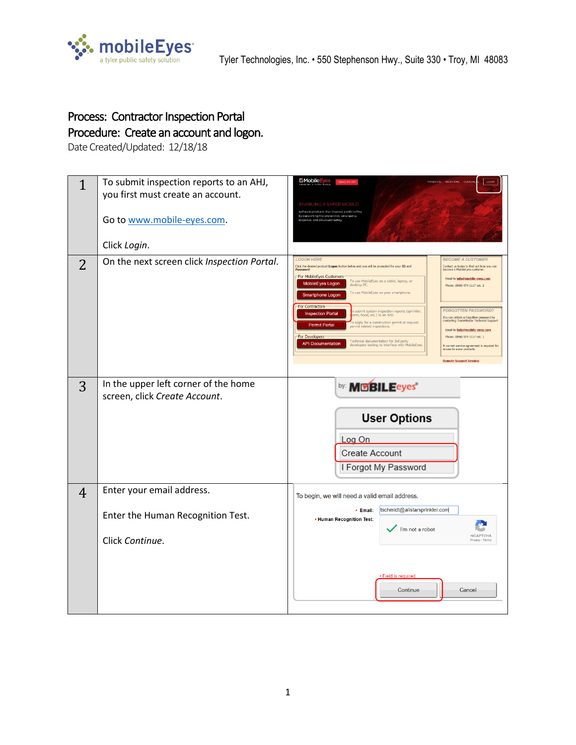

## Process: Contractor Inspection Portal Procedure: Create an account and logon.

Date Created/Updated: 12/18/18

| $\mathbf{1}$<br>2 | To submit inspection reports to an AHJ,<br>you first must create an account.<br>Go to www.mobile-eyes.com.<br>Click Login.<br>On the next screen click Inspection Portal. | EMobile Eyes<br><b>JABLING A SAFER</b><br>Software products that improve public safety<br>by supporting fire prevention, emerger<br>response, and structural safety.<br><b>BECOME A CUSTOMER</b><br><b>LOGON HERE</b><br>Click the desired product Logon button below and you will be prompted for your ID and<br>Contact us today to find out how you can<br>become a MobileEyes custome<br>For MobileEyes Customers<br>Email to info@mobile-eyes.com<br>To use MobileEyes on a tablet, laptop, or<br>desktop PC.<br>MobileEyes Logon<br>Phone: (866) 974-1117 ext. 2<br>To use MobileEyes on your smartphone.<br>Smartphone Logon<br>-For Contractors-<br><b>FORGOTTEN PASSWORD?</b><br>b submit system inspection reports (sprinkler,<br>arm, hood, etc.) to an AHJ.<br><b>Inspection Portal</b><br>You can obtain a forgotten password by<br>contacting TradeMaster Technical Support:<br>o apply for a construction permit or request<br><b>Permit Portal</b><br>permit related inspections.<br>Email to help@mobile-eyes.com<br><b>For Developers</b><br>Phone: (866) 974-1117 ext. 1<br>Technical documentation for 3rd party<br>developers looking to interface with MobileEyes<br><b>API Documentation</b><br>A current service agreement is required for<br>access to some products. |
|-------------------|---------------------------------------------------------------------------------------------------------------------------------------------------------------------------|------------------------------------------------------------------------------------------------------------------------------------------------------------------------------------------------------------------------------------------------------------------------------------------------------------------------------------------------------------------------------------------------------------------------------------------------------------------------------------------------------------------------------------------------------------------------------------------------------------------------------------------------------------------------------------------------------------------------------------------------------------------------------------------------------------------------------------------------------------------------------------------------------------------------------------------------------------------------------------------------------------------------------------------------------------------------------------------------------------------------------------------------------------------------------------------------------------------------------------------------------------------------------------------------|
| 3                 | In the upper left corner of the home<br>screen, click Create Account.                                                                                                     | <b>Remote Support Session</b><br>by: <b>MISBILEeyes</b><br><b>User Options</b><br>Log On<br>Create Account<br>I Forgot My Password                                                                                                                                                                                                                                                                                                                                                                                                                                                                                                                                                                                                                                                                                                                                                                                                                                                                                                                                                                                                                                                                                                                                                             |
| $\overline{4}$    | Enter your email address.<br>Enter the Human Recognition Test.<br>Click Continue.                                                                                         | To begin, we will need a valid email address.<br>tschmidt@allstarsprinkler.com<br>• Email:<br>• Human Recognition Test:<br>I'm not a robot<br><b>reCAPTCHA</b><br>· Field is required<br>Continue<br>Cancel                                                                                                                                                                                                                                                                                                                                                                                                                                                                                                                                                                                                                                                                                                                                                                                                                                                                                                                                                                                                                                                                                    |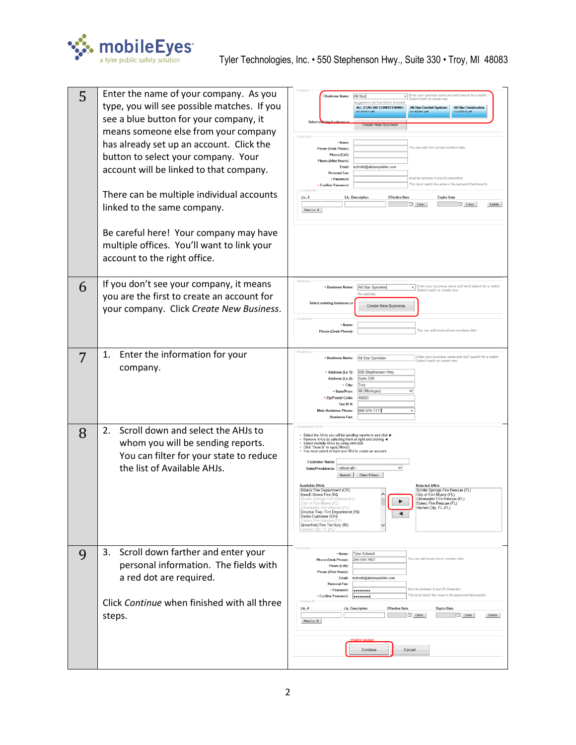

| 5 | Enter the name of your company. As you<br>type, you will see possible matches. If you<br>see a blue button for your company, it<br>means someone else from your company<br>has already set up an account. Click the<br>button to select your company. Your<br>account will be linked to that company.<br>There can be multiple individual accounts<br>linked to the same company.<br>Be careful here! Your company may have<br>multiple offices. You'll want to link your<br>account to the right office. | Enter your business name and we'll search for a match<br><b>Business Name:</b><br>All Star<br>elect match or create new<br>s (w/ first Admin & en<br>ALL STAR AIR CONDITIONING<br><b>All Star Comfort Systems</b><br><b>All Star Construction</b><br>no admin yet<br>no admin yet<br>Select o<br><b>Create New Busin</b><br>· Name:<br>You can add more phone numbers later<br><b>Phone (Desk Phone):</b><br>Phone (Cell):<br>Phone (After Hours):<br>tschmidt@allstarsprinkler.com<br>Email:<br><b>Personal Fax:</b><br>Must be between 6 and 20 characters<br>· Password:<br>This must match the value in the password field exactly.<br>· Confirm Password:<br>Lic.#<br>Lic. Description<br><b>Effective Date</b><br><b>Expire Date</b><br>Clear<br>$\boxed{p}$ Clear<br>Delete<br>New Lic. #                                                  |
|---|-----------------------------------------------------------------------------------------------------------------------------------------------------------------------------------------------------------------------------------------------------------------------------------------------------------------------------------------------------------------------------------------------------------------------------------------------------------------------------------------------------------|---------------------------------------------------------------------------------------------------------------------------------------------------------------------------------------------------------------------------------------------------------------------------------------------------------------------------------------------------------------------------------------------------------------------------------------------------------------------------------------------------------------------------------------------------------------------------------------------------------------------------------------------------------------------------------------------------------------------------------------------------------------------------------------------------------------------------------------------------|
| 6 | If you don't see your company, it means<br>you are the first to create an account for<br>your company. Click Create New Business.                                                                                                                                                                                                                                                                                                                                                                         | Busines<br>$\times$ Enter your business name and we'll search for a match.<br>All Star Sprinkler<br>· Business Name:<br>Select match or create new.<br>No matches<br>Select existing business or<br><b>Create New Business</b><br>Contract<br>· Name:<br>You can add more phone numbers later<br>Phone (Desk Phone):                                                                                                                                                                                                                                                                                                                                                                                                                                                                                                                              |
| 7 | Enter the information for your<br>1.<br>company.                                                                                                                                                                                                                                                                                                                                                                                                                                                          | Busines<br>Enter your business name and we'll search for a match<br>• Business Name:<br>All Star Sprinkler<br>Select match or create new.<br>550 Stephenson Hwy<br>· Address (Ln 1):<br>Suite 330<br>Address (Ln 2):<br>$\cdot$ City:<br>Troy<br>MI (Michigan)<br>· State/Prov:<br>· Zip/Postal Code:<br>48083<br>Tax ID#:<br>366-974-1117<br>Main Business Phone:<br><b>Business Fax:</b>                                                                                                                                                                                                                                                                                                                                                                                                                                                        |
| 8 | Scroll down and select the AHJs to<br>2.<br>whom you will be sending reports.<br>You can filter for your state to reduce<br>the list of Available AHJs.                                                                                                                                                                                                                                                                                                                                                   | Select the AHJs you will be sending reports to and click<br>• Remove AHJs by selecting them at right and clicking ◀<br>Select multiple AHJs by using ctrl+click<br>· Click "Search" to apply filter(s)<br>You must select at least one AHJ to create an account<br><b>Customer Name:</b><br>$\checkmark$<br>--show all-<br>State/Providence:<br>Clear Filters<br>Search  <br>Available AH.Is<br><b>Selected AHJs</b><br>Albany Fire Department (OR)<br>Bonita Springs Fire Rescue (FL)<br>Beech Grove Fire (IN)<br>City of Fort Myers (FL)<br>Clearwater Fire Rescue (FL)<br>onita Springs Fire F<br>City of Fort Myers (FL)<br>Estero Fire Rescue (FL)<br>laines City, FL (FL)<br>anvater Fire Rescu<br>Decatur Twp. Fire Department (IN)<br>$\blacktriangleleft$<br>Demo Customer (OH)<br>Greenfield Fire Territory (IN)<br>Haines City, FL (F. |
| 9 | Scroll down farther and enter your<br>3.<br>personal information. The fields with<br>a red dot are required.<br>Click Continue when finished with all three<br>steps.                                                                                                                                                                                                                                                                                                                                     | <b>Tyler Schmidt</b><br>· Name:<br>You can add more phone numbers later<br>248-646-7607<br>Phone (Desk Phone):<br>Phone (Cell):<br><b>Phone (After Hours):</b><br>tschmidt@allstarsprinkler.com<br>Email:<br>Personal Fax:<br>Must be between 6 and 20 characters.<br>· Password:<br><br>This must match the value in the password field exactly.<br>• Confirm Password:<br><br>-License #s<br>Lic. Description<br>$Lie.$ #<br><b>Effective Date</b><br><b>Expire Date</b><br>$e$ Clear<br>Clear<br>Delete<br>New Lic. #<br><b>Field is require</b><br>Continue<br>Cancel                                                                                                                                                                                                                                                                         |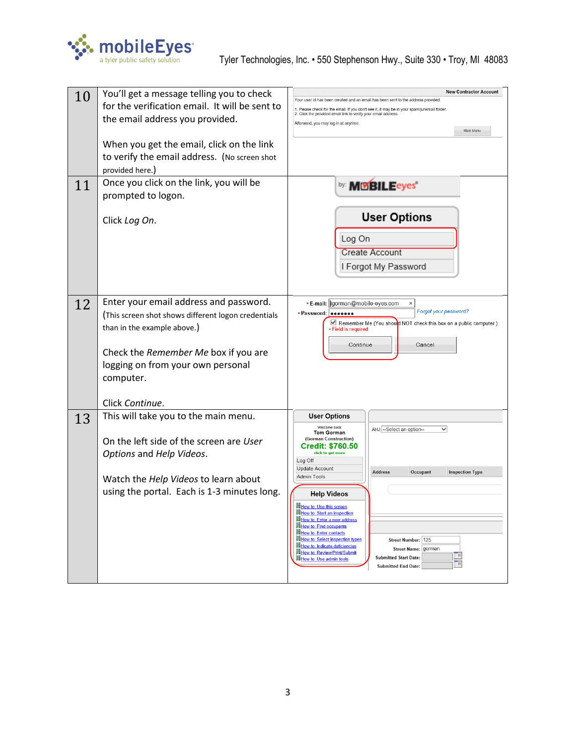

| 10 | You'll get a message telling you to check           | <b>New Contractor Account</b>                                                                                                                                 |
|----|-----------------------------------------------------|---------------------------------------------------------------------------------------------------------------------------------------------------------------|
|    | for the verification email. It will be sent to      | Your user id has been created and an email has been sent to the address provided.                                                                             |
|    | the email address you provided.                     | 1. Please check for the email. If you don't see it, it may be in your spam/junkmail folder.<br>2. Click the provided email link to verify your email address. |
|    |                                                     | Afterward, you may log in at anytime.<br>Main Menu                                                                                                            |
|    | When you get the email, click on the link           |                                                                                                                                                               |
|    | to verify the email address. (No screen shot        |                                                                                                                                                               |
|    | provided here.)                                     |                                                                                                                                                               |
|    | Once you click on the link, you will be             |                                                                                                                                                               |
| 11 | prompted to logon.                                  | by: <b>MCBILEeyes</b>                                                                                                                                         |
|    |                                                     |                                                                                                                                                               |
|    | Click Log On.                                       | <b>User Options</b>                                                                                                                                           |
|    |                                                     |                                                                                                                                                               |
|    |                                                     | Log On                                                                                                                                                        |
|    |                                                     | Create Account                                                                                                                                                |
|    |                                                     | I Forgot My Password                                                                                                                                          |
|    |                                                     |                                                                                                                                                               |
|    |                                                     |                                                                                                                                                               |
| 12 | Enter your email address and password.              | • E-mail:   gorman@mobile-eyes.com<br>×<br>Forgot your password?<br>· Password:<br>                                                                           |
|    | (This screen shot shows different logon credentials | Remember Me (You shout NOT check this box on a public computer.)                                                                                              |
|    | than in the example above.)                         | · Field is required                                                                                                                                           |
|    |                                                     | Continue<br>Cancel                                                                                                                                            |
|    | Check the Remember Me box if you are                |                                                                                                                                                               |
|    | logging on from your own personal                   |                                                                                                                                                               |
|    | computer.                                           |                                                                                                                                                               |
|    | Click Continue.                                     |                                                                                                                                                               |
|    | This will take you to the main menu.                | <b>User Options</b>                                                                                                                                           |
| 13 |                                                     | Welcome back<br>AHJ: --Select an option--<br>$\checkmark$                                                                                                     |
|    | On the left side of the screen are User             | Tom Gorman<br>(Gorman Construction)                                                                                                                           |
|    | Options and Help Videos.                            | <b>Credit: \$760.50</b><br>click to get more                                                                                                                  |
|    |                                                     | Log Off<br>Update Account                                                                                                                                     |
|    | Watch the Help Videos to learn about                | Address<br>Occupant<br><b>Inspection Type</b><br>Admin Tools                                                                                                  |
|    | using the portal. Each is 1-3 minutes long.         | <b>Help Videos</b>                                                                                                                                            |
|    |                                                     | How to: Use this screen                                                                                                                                       |
|    |                                                     | How to: Start an inspection<br>How to: Enter a new address                                                                                                    |
|    |                                                     | <b>How to: Find occupants</b><br><b>How to: Enter contacts</b>                                                                                                |
|    |                                                     | How to: Select inspection types<br>Street Number: 125<br>How to: Indicate deficiencies                                                                        |
|    |                                                     | <b>Street Name:</b><br>gorman<br><b>How to: Review/Print/Submit</b><br>P.<br><b>Submitted Start Date:</b><br>How to: Use admin tools                          |
|    |                                                     | Ta<br><b>Submitted End Date:</b>                                                                                                                              |
|    |                                                     |                                                                                                                                                               |